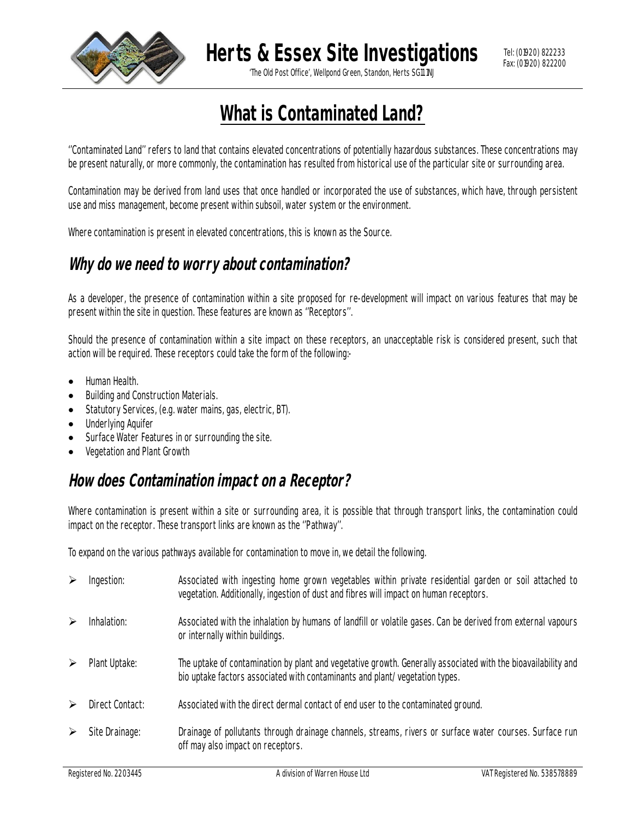

**Herts & Essex Site Investigations**

'The Old Post Office', Wellpond Green, Standon, Herts SG11 1NJ

# **What is Contaminated Land?**

''Contaminated Land'' refers to land that contains elevated concentrations of potentially hazardous substances. These concentrations may be present naturally, or more commonly, the contamination has resulted from historical use of the particular site or surrounding area.

Contamination may be derived from land uses that once handled or incorporated the use of substances, which have, through persistent use and miss management, become present within subsoil, water system or the environment.

Where contamination is present in elevated concentrations, this is known as the Source.

## **Why do we need to worry about contamination?**

As a developer, the presence of contamination within a site proposed for re-development will impact on various features that may be present within the site in question. These features are known as ''Receptors''.

Should the presence of contamination within a site impact on these receptors, an unacceptable risk is considered present, such that action will be required. These receptors could take the form of the following:-

- Human Health.
- Building and Construction Materials.
- Statutory Services, (e.g. water mains, gas, electric, BT).
- Underlying Aquifer
- Surface Water Features in or surrounding the site.
- Vegetation and Plant Growth

#### **How does Contamination impact on a Receptor?**

Where contamination is present within a site or surrounding area, it is possible that through transport links, the contamination could impact on the receptor. These transport links are known as the ''Pathway''.

To expand on the various pathways available for contamination to move in, we detail the following.

|   | Ingestion:      | Associated with ingesting home grown vegetables within private residential garden or soil attached to<br>vegetation. Additionally, ingestion of dust and fibres will impact on human receptors. |
|---|-----------------|-------------------------------------------------------------------------------------------------------------------------------------------------------------------------------------------------|
| ➤ | Inhalation:     | Associated with the inhalation by humans of landfill or volatile gases. Can be derived from external vapours<br>or internally within buildings.                                                 |
|   | Plant Uptake:   | The uptake of contamination by plant and vegetative growth. Generally associated with the bioavailability and<br>bio uptake factors associated with contaminants and plant/vegetation types.    |
|   | Direct Contact: | Associated with the direct dermal contact of end user to the contaminated ground.                                                                                                               |
|   | Site Drainage:  | Drainage of pollutants through drainage channels, streams, rivers or surface water courses. Surface run<br>off may also impact on receptors.                                                    |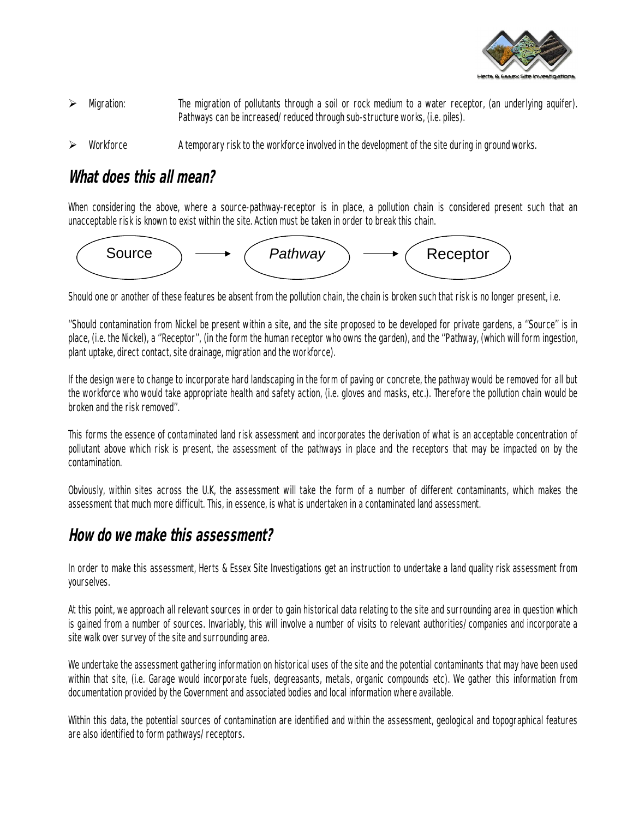

- $\triangleright$  Migration: The migration of pollutants through a soil or rock medium to a water receptor, (an underlying aquifer). Pathways can be increased/reduced through sub-structure works, (i.e. piles).
- Workforce A temporary risk to the workforce involved in the development of the site during in ground works.

# **What does this all mean?**

When considering the above, where a source-pathway-receptor is in place, a pollution chain is considered present such that an unacceptable risk is known to exist within the site. Action must be taken in order to break this chain.



Should one or another of these features be absent from the pollution chain, the chain is broken such that risk is no longer present, i.e.

''Should contamination from Nickel be present within a site, and the site proposed to be developed for private gardens, a ''Source'' is in place, (i.e. the Nickel), a ''Receptor'', (in the form the human receptor who owns the garden), and the ''Pathway, (which will form ingestion, plant uptake, direct contact, site drainage, migration and the workforce).

If the design were to change to incorporate hard landscaping in the form of paving or concrete, the pathway would be removed for all but the workforce who would take appropriate health and safety action, (i.e. gloves and masks, etc.). Therefore the pollution chain would be broken and the risk removed''.

This forms the essence of contaminated land risk assessment and incorporates the derivation of what is an acceptable concentration of pollutant above which risk is present, the assessment of the pathways in place and the receptors that may be impacted on by the contamination.

Obviously, within sites across the U.K, the assessment will take the form of a number of different contaminants, which makes the assessment that much more difficult. This, in essence, is what is undertaken in a contaminated land assessment.

#### **How do we make this assessment?**

In order to make this assessment, Herts & Essex Site Investigations get an instruction to undertake a land quality risk assessment from yourselves.

At this point, we approach all relevant sources in order to gain historical data relating to the site and surrounding area in question which is gained from a number of sources. Invariably, this will involve a number of visits to relevant authorities/companies and incorporate a site walk over survey of the site and surrounding area.

We undertake the assessment gathering information on historical uses of the site and the potential contaminants that may have been used within that site, (i.e. Garage would incorporate fuels, degreasants, metals, organic compounds etc). We gather this information from documentation provided by the Government and associated bodies and local information where available.

Within this data, the potential sources of contamination are identified and within the assessment, geological and topographical features are also identified to form pathways/receptors.